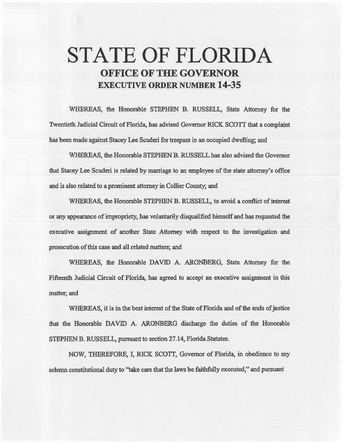# **STATE OF FLORIDA OFFICE OF THE GOVERNOR EXECUTIVE ORDER NUMBER 14-35**

WHEREAS, the Honorable STEPHEN B. RUSSELL, State Attorney for the Twentieth Jadicia1 Cirouit of Florida, has advised Governor RICK SCOTT that a complaint has been made against Stacey Lee Scuderi for trespass in an occupied dwelting; and

WHEREAS, the Honorable STEPHEN B. RUSSELL has also advised the Governor that Stacey Lee Scuderi is related by marriage to an employee of the state attorney's office and is also related to a prominent attorney in Collier County; and

WHEREAS, the Honorable STEPHEN B. RUSSELL, to avoid a conflict of interest or any appearance of impropriety, has voluntarily disqualified himself and has requested the execative assignment of another State Attorney with respect to the investigation and prosecution of this case and all related matters; and

WHEREAS, the Honorable DAVID A. ARONBERG, State Attorney for the Fifteenth Judicial Circuit of Florida, has agreed to accept an executive assignment in this matter; and

WHEREAS, it is in the best interest of the State of Florida and of the ends of justice that the Honorable DAVID A. ARONBERG discharge the duties of the Honorable STEPHEN B. RUSSELL, pursuant to section 27.14, Florida Statutes.

NOW, THEREFORE, I, RICK SCOTT, Governor of Florida, in obedience to my solemn constitutional duty to "take care that the laws be faithfully executed," and pursuant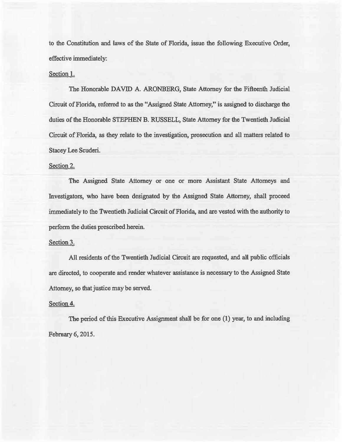to the Constitution and laws of the State of Florida, issue the following Executive Order, effective immediately:

## Section l.

The Honorable DAVID A. ARONBERG, State Attorney for the Fifteenth Judicial Circuit of Florida, referred to as the "Assigned State Attorney," is assigned to discharge the duties of the Honorable STEPHEN B. RUSSELL, State Attorney for the Twentieth Judicial Circuit of Florida, as they relate to the investigation, prosecution and all matters related to Stacey Lee Scuderi.

## Section 2.

The Assigned State Attorney or one or more Assistant State Attorneys and Investigators, who have been designated by the Assigned State Attorney, shall proceed immediately to the Twentieth Judicial Circuit of Florida, and are vested with the authority to perform the duties prescribed herein.

### Section 3.

All residents of the Twentieth Judicial Circuit are requested, and all public officials are directed, to cooperate and render whatever assistance is necessary to the Assigned State Attorney, so that justice may be served.

### Section 4.

The period of this Executive Assignment shall be for one (1) year, to and including Febmary 6, 2015.